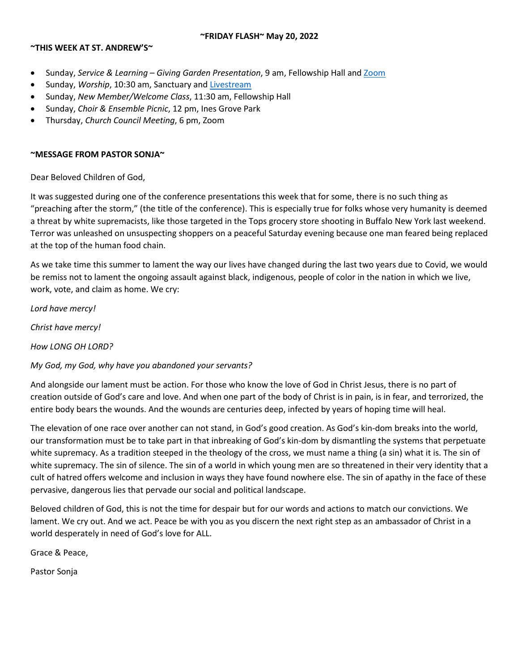### **~FRIDAY FLASH~ May 20, 2022**

### **~THIS WEEK AT ST. ANDREW'S~**

- Sunday, *Service & Learning – Giving Garden Presentation*, 9 am, Fellowship Hall and [Zoom](https://us06web.zoom.us/j/83868347151?pwd=S0ZDUVgreW8wYVVaTWxLcWV4VmFzQT09)
- Sunday, *Worship*, 10:30 am, Sanctuary an[d Livestream](https://youtu.be/ZtqeINnQBvk)
- Sunday, *New Member/Welcome Class*, 11:30 am, Fellowship Hall
- Sunday, *Choir & Ensemble Picnic*, 12 pm, Ines Grove Park
- Thursday, *Church Council Meeting*, 6 pm, Zoom

### **~MESSAGE FROM PASTOR SONJA~**

Dear Beloved Children of God,

It was suggested during one of the conference presentations this week that for some, there is no such thing as "preaching after the storm," (the title of the conference). This is especially true for folks whose very humanity is deemed a threat by white supremacists, like those targeted in the Tops grocery store shooting in Buffalo New York last weekend. Terror was unleashed on unsuspecting shoppers on a peaceful Saturday evening because one man feared being replaced at the top of the human food chain.

As we take time this summer to lament the way our lives have changed during the last two years due to Covid, we would be remiss not to lament the ongoing assault against black, indigenous, people of color in the nation in which we live, work, vote, and claim as home. We cry:

*Lord have mercy!*

*Christ have mercy!*

*How LONG OH LORD?*

## *My God, my God, why have you abandoned your servants?*

And alongside our lament must be action. For those who know the love of God in Christ Jesus, there is no part of creation outside of God's care and love. And when one part of the body of Christ is in pain, is in fear, and terrorized, the entire body bears the wounds. And the wounds are centuries deep, infected by years of hoping time will heal.

The elevation of one race over another can not stand, in God's good creation. As God's kin-dom breaks into the world, our transformation must be to take part in that inbreaking of God's kin-dom by dismantling the systems that perpetuate white supremacy. As a tradition steeped in the theology of the cross, we must name a thing (a sin) what it is. The sin of white supremacy. The sin of silence. The sin of a world in which young men are so threatened in their very identity that a cult of hatred offers welcome and inclusion in ways they have found nowhere else. The sin of apathy in the face of these pervasive, dangerous lies that pervade our social and political landscape.

Beloved children of God, this is not the time for despair but for our words and actions to match our convictions. We lament. We cry out. And we act. Peace be with you as you discern the next right step as an ambassador of Christ in a world desperately in need of God's love for ALL.

Grace & Peace,

Pastor Sonja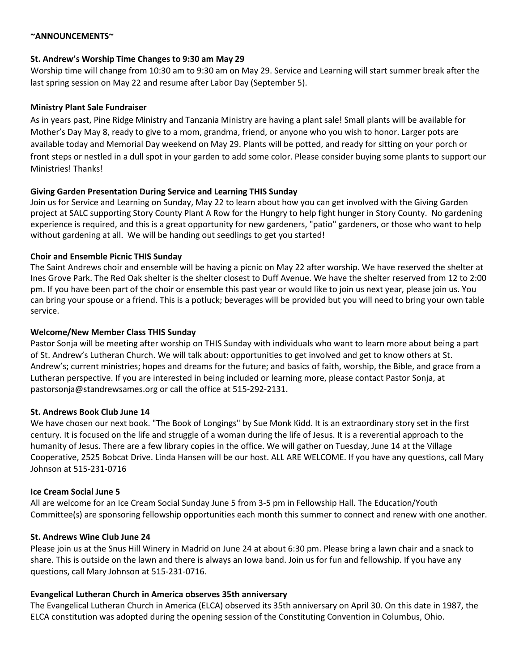### **~ANNOUNCEMENTS~**

### **St. Andrew's Worship Time Changes to 9:30 am May 29**

Worship time will change from 10:30 am to 9:30 am on May 29. Service and Learning will start summer break after the last spring session on May 22 and resume after Labor Day (September 5).

## **Ministry Plant Sale Fundraiser**

As in years past, Pine Ridge Ministry and Tanzania Ministry are having a plant sale! Small plants will be available for Mother's Day May 8, ready to give to a mom, grandma, friend, or anyone who you wish to honor. Larger pots are available today and Memorial Day weekend on May 29. Plants will be potted, and ready for sitting on your porch or front steps or nestled in a dull spot in your garden to add some color. Please consider buying some plants to support our Ministries! Thanks!

## **Giving Garden Presentation During Service and Learning THIS Sunday**

Join us for Service and Learning on Sunday, May 22 to learn about how you can get involved with the Giving Garden project at SALC supporting Story County Plant A Row for the Hungry to help fight hunger in Story County. No gardening experience is required, and this is a great opportunity for new gardeners, "patio" gardeners, or those who want to help without gardening at all. We will be handing out seedlings to get you started!

## **Choir and Ensemble Picnic THIS Sunday**

The Saint Andrews choir and ensemble will be having a picnic on May 22 after worship. We have reserved the shelter at Ines Grove Park. The Red Oak shelter is the shelter closest to Duff Avenue. We have the shelter reserved from 12 to 2:00 pm. If you have been part of the choir or ensemble this past year or would like to join us next year, please join us. You can bring your spouse or a friend. This is a potluck; beverages will be provided but you will need to bring your own table service.

### **Welcome/New Member Class THIS Sunday**

Pastor Sonja will be meeting after worship on THIS Sunday with individuals who want to learn more about being a part of St. Andrew's Lutheran Church. We will talk about: opportunities to get involved and get to know others at St. Andrew's; current ministries; hopes and dreams for the future; and basics of faith, worship, the Bible, and grace from a Lutheran perspective. If you are interested in being included or learning more, please contact Pastor Sonja, at pastorsonja@standrewsames.org or call the office at 515-292-2131.

#### **St. Andrews Book Club June 14**

We have chosen our next book. "The Book of Longings" by Sue Monk Kidd. It is an extraordinary story set in the first century. It is focused on the life and struggle of a woman during the life of Jesus. It is a reverential approach to the humanity of Jesus. There are a few library copies in the office. We will gather on Tuesday, June 14 at the Village Cooperative, 2525 Bobcat Drive. Linda Hansen will be our host. ALL ARE WELCOME. If you have any questions, call Mary Johnson at 515-231-0716

## **Ice Cream Social June 5**

All are welcome for an Ice Cream Social Sunday June 5 from 3-5 pm in Fellowship Hall. The Education/Youth Committee(s) are sponsoring fellowship opportunities each month this summer to connect and renew with one another.

#### **St. Andrews Wine Club June 24**

Please join us at the Snus Hill Winery in Madrid on June 24 at about 6:30 pm. Please bring a lawn chair and a snack to share. This is outside on the lawn and there is always an Iowa band. Join us for fun and fellowship. If you have any questions, call Mary Johnson at 515-231-0716.

## **Evangelical Lutheran Church in America observes 35th anniversary**

The Evangelical Lutheran Church in America (ELCA) observed its 35th anniversary on April 30. On this date in 1987, the ELCA constitution was adopted during the opening session of the Constituting Convention in Columbus, Ohio.